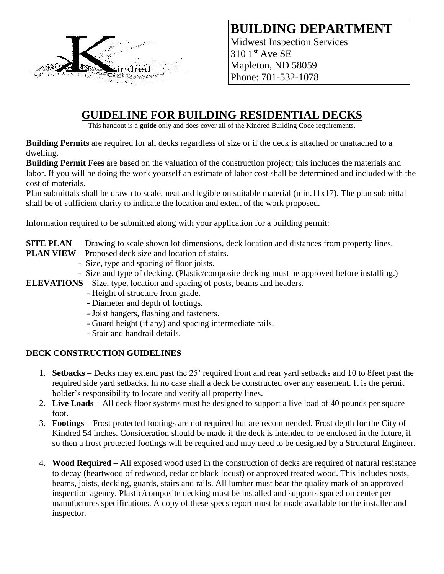

**BUILDING DEPARTMENT** Midwest Inspection Services 310 1st Ave SE Mapleton, ND 58059 Phone: 701-532-1078

# **GUIDELINE FOR BUILDING RESIDENTIAL DECKS**

This handout is a **guide** only and does cover all of the Kindred Building Code requirements.

**Building Permits** are required for all decks regardless of size or if the deck is attached or unattached to a dwelling.

**Building Permit Fees** are based on the valuation of the construction project; this includes the materials and labor. If you will be doing the work yourself an estimate of labor cost shall be determined and included with the cost of materials.

Plan submittals shall be drawn to scale, neat and legible on suitable material (min.11x17). The plan submittal shall be of sufficient clarity to indicate the location and extent of the work proposed.

Information required to be submitted along with your application for a building permit:

- **SITE PLAN** Drawing to scale shown lot dimensions, deck location and distances from property lines.
- **PLAN VIEW** Proposed deck size and location of stairs.
	- Size, type and spacing of floor joists.
	- Size and type of decking. (Plastic/composite decking must be approved before installing.)
- **ELEVATIONS** Size, type, location and spacing of posts, beams and headers.
	- Height of structure from grade.
	- Diameter and depth of footings.
	- Joist hangers, flashing and fasteners.
	- Guard height (if any) and spacing intermediate rails.
	- Stair and handrail details.

### **DECK CONSTRUCTION GUIDELINES**

- 1. **Setbacks –** Decks may extend past the 25' required front and rear yard setbacks and 10 to 8feet past the required side yard setbacks. In no case shall a deck be constructed over any easement. It is the permit holder's responsibility to locate and verify all property lines.
- 2. **Live Loads –** All deck floor systems must be designed to support a live load of 40 pounds per square foot.
- 3. **Footings –** Frost protected footings are not required but are recommended. Frost depth for the City of Kindred 54 inches. Consideration should be made if the deck is intended to be enclosed in the future, if so then a frost protected footings will be required and may need to be designed by a Structural Engineer.
- 4. **Wood Required –** All exposed wood used in the construction of decks are required of natural resistance to decay (heartwood of redwood, cedar or black locust) or approved treated wood. This includes posts, beams, joists, decking, guards, stairs and rails. All lumber must bear the quality mark of an approved inspection agency. Plastic/composite decking must be installed and supports spaced on center per manufactures specifications. A copy of these specs report must be made available for the installer and inspector.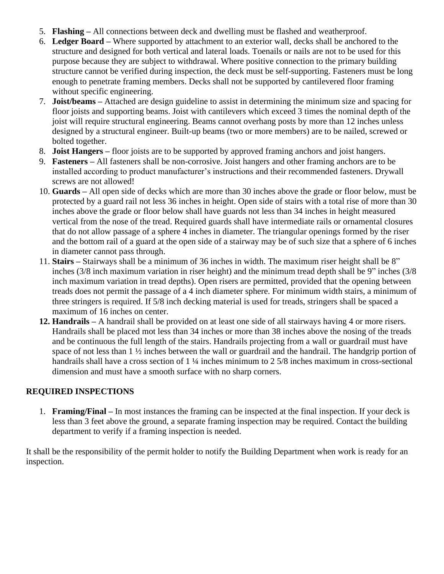- 5. **Flashing –** All connections between deck and dwelling must be flashed and weatherproof.
- 6. **Ledger Board –** Where supported by attachment to an exterior wall, decks shall be anchored to the structure and designed for both vertical and lateral loads. Toenails or nails are not to be used for this purpose because they are subject to withdrawal. Where positive connection to the primary building structure cannot be verified during inspection, the deck must be self-supporting. Fasteners must be long enough to penetrate framing members. Decks shall not be supported by cantilevered floor framing without specific engineering.
- 7. **Joist/beams –** Attached are design guideline to assist in determining the minimum size and spacing for floor joists and supporting beams. Joist with cantilevers which exceed 3 times the nominal depth of the joist will require structural engineering. Beams cannot overhang posts by more than 12 inches unless designed by a structural engineer. Built-up beams (two or more members) are to be nailed, screwed or bolted together.
- 8. **Joist Hangers –** floor joists are to be supported by approved framing anchors and joist hangers.
- 9. **Fasteners –** All fasteners shall be non-corrosive. Joist hangers and other framing anchors are to be installed according to product manufacturer's instructions and their recommended fasteners. Drywall screws are not allowed!
- 10. **Guards –** All open side of decks which are more than 30 inches above the grade or floor below, must be protected by a guard rail not less 36 inches in height. Open side of stairs with a total rise of more than 30 inches above the grade or floor below shall have guards not less than 34 inches in height measured vertical from the nose of the tread. Required guards shall have intermediate rails or ornamental closures that do not allow passage of a sphere 4 inches in diameter. The triangular openings formed by the riser and the bottom rail of a guard at the open side of a stairway may be of such size that a sphere of 6 inches in diameter cannot pass through.
- 11. **Stairs –** Stairways shall be a minimum of 36 inches in width. The maximum riser height shall be 8" inches (3/8 inch maximum variation in riser height) and the minimum tread depth shall be 9" inches (3/8 inch maximum variation in tread depths). Open risers are permitted, provided that the opening between treads does not permit the passage of a 4 inch diameter sphere. For minimum width stairs, a minimum of three stringers is required. If 5/8 inch decking material is used for treads, stringers shall be spaced a maximum of 16 inches on center.
- **12. Handrails –** A handrail shall be provided on at least one side of all stairways having 4 or more risers. Handrails shall be placed mot less than 34 inches or more than 38 inches above the nosing of the treads and be continuous the full length of the stairs. Handrails projecting from a wall or guardrail must have space of not less than 1 ½ inches between the wall or guardrail and the handrail. The handgrip portion of handrails shall have a cross section of 1 ¼ inches minimum to 2 5/8 inches maximum in cross-sectional dimension and must have a smooth surface with no sharp corners.

## **REQUIRED INSPECTIONS**

1. **Framing/Final –** In most instances the framing can be inspected at the final inspection. If your deck is less than 3 feet above the ground, a separate framing inspection may be required. Contact the building department to verify if a framing inspection is needed.

It shall be the responsibility of the permit holder to notify the Building Department when work is ready for an inspection.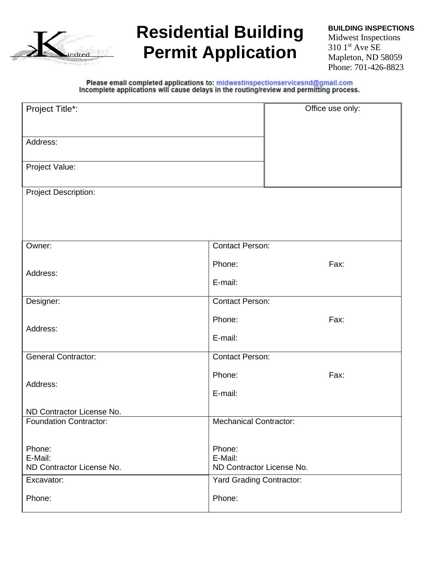

# **Residential Building Permit Application**

**BUILDING INSPECTIONS** Midwest Inspections  $3101$ <sup>st</sup> Ave SE Mapleton, ND 58059 Phone: 701-426-8823

Please email completed applications to: midwestinspectionservicesnd@gmail.com<br>Incomplete applications will cause delays in the routing/review and permitting process.

| Project Title*:                                            | Office use only:                |  |  |  |  |  |  |
|------------------------------------------------------------|---------------------------------|--|--|--|--|--|--|
|                                                            |                                 |  |  |  |  |  |  |
| Address:                                                   |                                 |  |  |  |  |  |  |
| Project Value:                                             |                                 |  |  |  |  |  |  |
|                                                            |                                 |  |  |  |  |  |  |
| <b>Project Description:</b>                                |                                 |  |  |  |  |  |  |
|                                                            |                                 |  |  |  |  |  |  |
|                                                            |                                 |  |  |  |  |  |  |
| Owner:                                                     | <b>Contact Person:</b>          |  |  |  |  |  |  |
|                                                            | Phone:<br>Fax:                  |  |  |  |  |  |  |
| Address:                                                   |                                 |  |  |  |  |  |  |
|                                                            | E-mail:                         |  |  |  |  |  |  |
| Designer:                                                  | <b>Contact Person:</b>          |  |  |  |  |  |  |
| Address:                                                   | Phone:<br>Fax:                  |  |  |  |  |  |  |
|                                                            | E-mail:                         |  |  |  |  |  |  |
| <b>General Contractor:</b>                                 | <b>Contact Person:</b>          |  |  |  |  |  |  |
|                                                            | Phone:<br>Fax:                  |  |  |  |  |  |  |
| Address:                                                   | E-mail:                         |  |  |  |  |  |  |
|                                                            |                                 |  |  |  |  |  |  |
| ND Contractor License No.<br><b>Foundation Contractor:</b> | <b>Mechanical Contractor:</b>   |  |  |  |  |  |  |
|                                                            |                                 |  |  |  |  |  |  |
| Phone:<br>E-Mail:                                          | Phone:<br>E-Mail:               |  |  |  |  |  |  |
| ND Contractor License No.                                  | ND Contractor License No.       |  |  |  |  |  |  |
| Excavator:                                                 | <b>Yard Grading Contractor:</b> |  |  |  |  |  |  |
| Phone:                                                     | Phone:                          |  |  |  |  |  |  |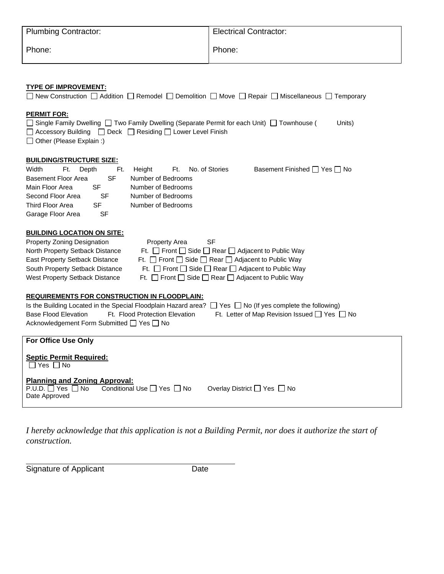| <b>Plumbing Contractor:</b> | <b>Electrical Contractor:</b> |  |  |  |  |
|-----------------------------|-------------------------------|--|--|--|--|
| Phone:                      | Phone:                        |  |  |  |  |

### **TYPE OF IMPROVEMENT:**

| New Construction $\Box$ Addition $\Box$ Remodel $\Box$ Demolition $\Box$ Move $\Box$ Repair $\Box$ Miscellaneous $\Box$ Temporary                                                                                                                                                                                                                                                                                                                                                                                                                                                                                                                                                                                                                                                                                                                                                                                                  |  |  |  |  |  |  |  |
|------------------------------------------------------------------------------------------------------------------------------------------------------------------------------------------------------------------------------------------------------------------------------------------------------------------------------------------------------------------------------------------------------------------------------------------------------------------------------------------------------------------------------------------------------------------------------------------------------------------------------------------------------------------------------------------------------------------------------------------------------------------------------------------------------------------------------------------------------------------------------------------------------------------------------------|--|--|--|--|--|--|--|
| <b>PERMIT FOR:</b><br>□ Single Family Dwelling □ Two Family Dwelling (Separate Permit for each Unit) □ Townhouse (<br>Units)<br>$\Box$ Accessory Building $\Box$ Deck $\Box$ Residing $\Box$ Lower Level Finish<br>$\Box$ Other (Please Explain :)                                                                                                                                                                                                                                                                                                                                                                                                                                                                                                                                                                                                                                                                                 |  |  |  |  |  |  |  |
| <b>BUILDING/STRUCTURE SIZE:</b>                                                                                                                                                                                                                                                                                                                                                                                                                                                                                                                                                                                                                                                                                                                                                                                                                                                                                                    |  |  |  |  |  |  |  |
| Width<br>Ft.<br>No. of Stories<br>Basement Finished $\Box$ Yes $\Box$ No<br>Depth<br>Ft.<br>Height<br>Ft.<br><b>Basement Floor Area</b><br><b>SF</b><br>Number of Bedrooms<br>Main Floor Area<br>SF<br>Number of Bedrooms<br>Second Floor Area<br>Number of Bedrooms<br><b>SF</b><br>Third Floor Area<br>Number of Bedrooms<br>SF                                                                                                                                                                                                                                                                                                                                                                                                                                                                                                                                                                                                  |  |  |  |  |  |  |  |
| <b>SF</b>                                                                                                                                                                                                                                                                                                                                                                                                                                                                                                                                                                                                                                                                                                                                                                                                                                                                                                                          |  |  |  |  |  |  |  |
| Garage Floor Area<br><b>BUILDING LOCATION ON SITE:</b><br>Property Zoning Designation<br><b>SF</b><br><b>Property Area</b><br>Ft. $\Box$ Front $\Box$ Side $\Box$ Rear $\Box$ Adjacent to Public Way<br>North Property Setback Distance<br>Ft. $\Box$ Front $\Box$ Side $\Box$ Rear $\Box$ Adjacent to Public Way<br>East Property Setback Distance<br>South Property Setback Distance<br>Ft. $\Box$ Front $\Box$ Side $\Box$ Rear $\Box$ Adjacent to Public Way<br>West Property Setback Distance<br>Ft. $\Box$ Front $\Box$ Side $\Box$ Rear $\Box$ Adjacent to Public Way<br><b>REQUIREMENTS FOR CONSTRUCTION IN FLOODPLAIN:</b><br>Is the Building Located in the Special Floodplain Hazard area? $\Box$ Yes $\Box$ No (If yes complete the following)<br><b>Base Flood Elevation</b><br>Ft. Flood Protection Elevation<br>Ft. Letter of Map Revision Issued $\Box$ Yes $\Box$ No<br>Acknowledgement Form Submitted □ Yes □ No |  |  |  |  |  |  |  |
| For Office Use Only<br><b>Septic Permit Required:</b><br>$\Box$ Yes $\Box$ No                                                                                                                                                                                                                                                                                                                                                                                                                                                                                                                                                                                                                                                                                                                                                                                                                                                      |  |  |  |  |  |  |  |
| <b>Planning and Zoning Approval:</b><br>$P.U.D. \square$ Yes $\square$ No<br>Conditional Use $\Box$ Yes $\Box$ No<br>Overlay District □ Yes □ No<br>Date Approved                                                                                                                                                                                                                                                                                                                                                                                                                                                                                                                                                                                                                                                                                                                                                                  |  |  |  |  |  |  |  |

*I hereby acknowledge that this application is not a Building Permit, nor does it authorize the start of construction.*

Signature of Applicant Date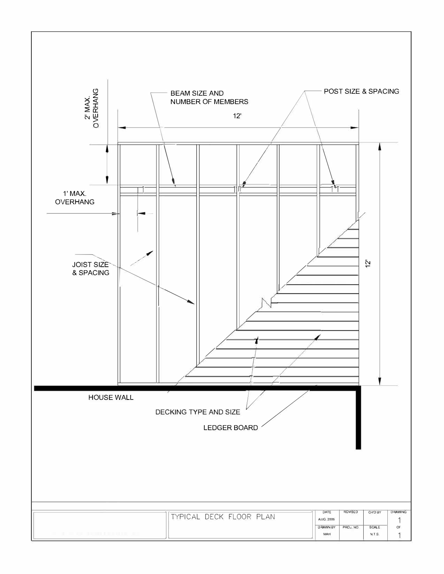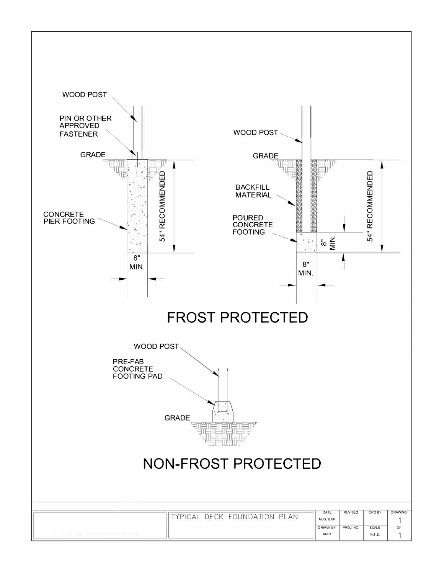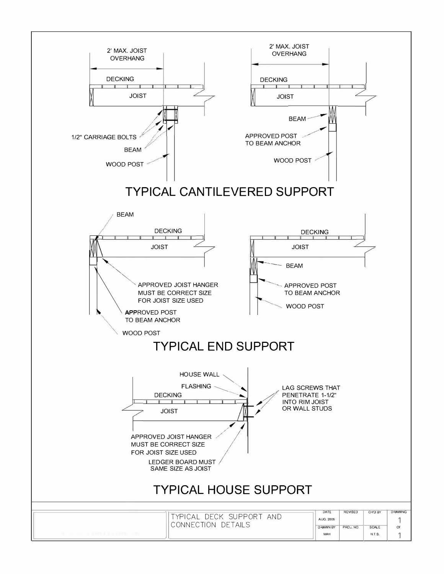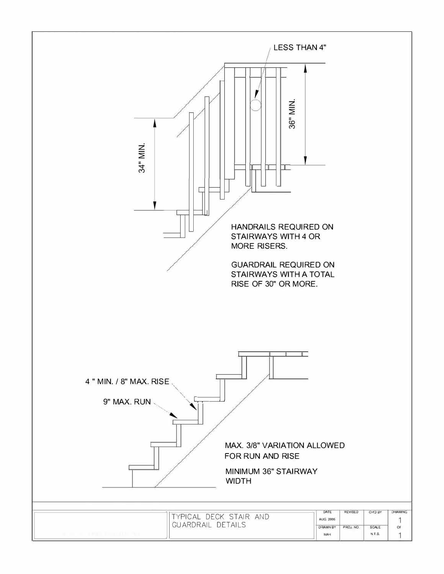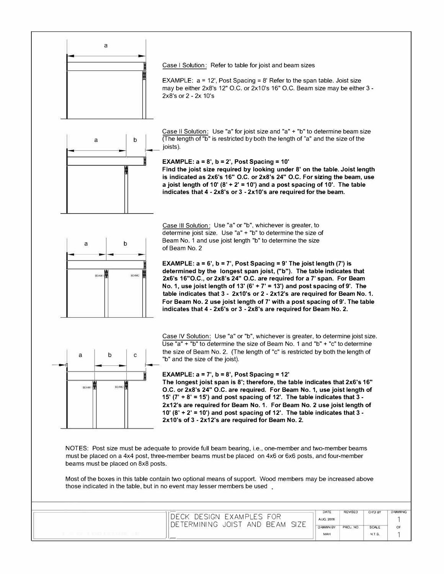

Case I Solution: Refer to table for joist and beam sizes

EXAMPLE:  $a = 12'$ , Post Spacing = 8' Refer to the span table. Joist size may be either 2x8's 12" O.C. or 2x10's 16" O.C. Beam size may be either 3-  $2x8's$  or  $2 - 2x$  10's



Case II Solution: Use "a" for joist size and "a" + "b" to determine beam size b (The length of "b" is restricted by both the length of "a" and the size of the joists).

**EXAMPLE: a= 8', b = 2', Post Spacing= 10'** 

Find **the joist size required by looking under 8' on the table. Joist length is indicated as 2x6's 16" O.C. or 2x8's 24" O.C. For sizing the beam, use**  a joist length of 10'  $(8' + 2' = 10')$  and a post spacing of 10'. The table **indicates that 4** - **2x8's or 3** - **2x1 O's are required for the beam.** 



Case Ill Solution: Use "a" or "b", whichever is greater, to determine joist size. Use "a" + "b" to determine the size of Beam No. 1 and use joist length "b" to determine the size of Beam No. 2

**EXAMPLE: a= 6', b = 7', Post Spacing= 9' The joist length (7') is determined by the longest span joist, ("b"). The table indicates that 2x6's 16"O.C., or 2x8's 24" O.C. are required for a 7' span. For Beam**  No. 1, **use joist length of 13' (6'** + **7' = 13') and post spacing of 9'. The table indicates that 3** • **2x10's or 2** - **2x12's are required for Beam No. 1. For Beam No. 2 use joist length of 7' with a post spacing of 9'. The table indicates that 4** - **2x6's or 3** - **2x8's are required for Beam No. 2.** 



Case IV Solution: Use "a" or "b", whichever is greater, to determine joist size. Use "a" + "b" to determine the size of Beam No. 1 and "b" + "c" to determine the size of Beam No. 2. (The length of "c" is restricted by both the length of "b" and the size of the joist).

#### **EXAMPLE: a <sup>=</sup>7', b = 8', Post Spacing <sup>=</sup>12'**

**The longest joist span is 8'; therefore, the table indicates that 2x6's 16" O.C. or 2x8's 24" O.C. are required. For Beam No. 1, use joist length of 15' (7'** + **8' = 15') and post spacing of 12'. The table indicates that 3- 2x12's are required for Beam No.** 1. **For Beam No. 2 use joist length of 1 0' (8'** + **2'** = **1 0') and post spacing of 12'. The table indicates that 3** - **2x1 O's of 3** - **2x12's are required for Beam No. 2.**

NOTES: Post size must be adequate to provide full beam bearing, i.e., one-member and two-member beams must be placed on a 4x4 post, three-member beams must be placed on 4x6 or 6x6 posts, and four-member beams must be placed on 8x8 posts.

Most of the boxes in this table contain two optional means of support. Wood members may be increased above those indicated in the table, but in no event may lesser members be used.

| <b>EXAMPLES FOR</b><br>DESIGN                          |                        |           |                        |    |  |
|--------------------------------------------------------|------------------------|-----------|------------------------|----|--|
| <b>SIZE</b><br><b>BEAM</b><br>AND<br>DETERMINING JOIST | <b>DRAWN BY</b><br>MAH | PROJ. NO. | <b>SCALE</b><br>N.T.S. | OF |  |